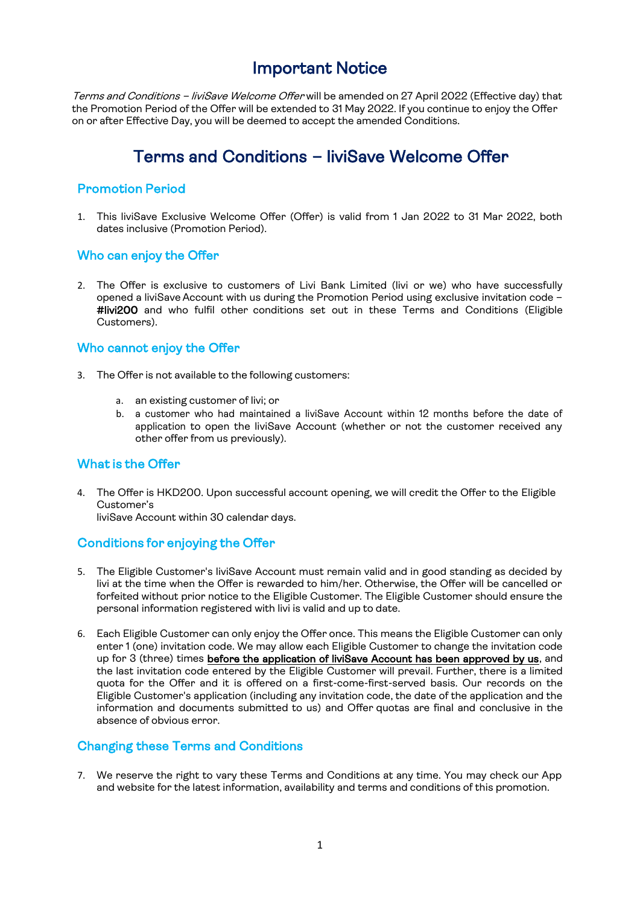# Important Notice

Terms and Conditions - liviSave Welcome Offer will be amended on 27 April 2022 (Effective day) that the Promotion Period of the Offer will be extended to 31 May 2022. If you continue to enjoy the Offer on or after Effective Day, you will be deemed to accept the amended Conditions.

# Terms and Conditions – liviSave Welcome Offer

## Promotion Period

1. This liviSave Exclusive Welcome Offer (Offer) is valid from 1 Jan 2022 to 31 Mar 2022, both dates inclusive (Promotion Period).

### Who can enjoy the Offer

2. The Offer is exclusive to customers of Livi Bank Limited (livi or we) who have successfully opened a liviSave Account with us during the Promotion Period using exclusive invitation code -#livi200 and who fulfil other conditions set out in these Terms and Conditions (Eligible Customers).

### Who cannot enjoy the Offer

- 3. The Offer is not available to the following customers:
	- a. an existing customer of livi; or
	- b. a customer who had maintained a liviSave Account within 12 months before the date of application to open the liviSave Account (whether or not the customer received any other offer from us previously).

### What is the Offer

4. The Offer is HKD200. Upon successful account opening, we will credit the Offer to the Eligible Customer's

liviSave Account within 30 calendar days.

# Conditions for enjoying the Offer

- 5. The Eligible Customer's liviSave Account must remain valid and in good standing as decided by livi at the time when the Offer is rewarded to him/her. Otherwise, the Offer will be cancelled or forfeited without prior notice to the Eligible Customer. The Eligible Customer should ensure the personal information registered with livi is valid and up to date.
- 6. Each Eligible Customer can only enjoy the Offer once. This means the Eligible Customer can only enter 1 (one) invitation code. We may allow each Eligible Customer to change the invitation code up for 3 (three) times before the application of liviSave Account has been approved by us, and the last invitation code entered by the Eligible Customer will prevail. Further, there is a limited quota for the Offer and it is offered on a first-come-first-served basis. Our records on the Eligible Customer's application (including any invitation code, the date of the application and the information and documents submitted to us) and Offer quotas are final and conclusive in the absence of obvious error.

# Changing these Terms and Conditions

7. We reserve the right to vary these Terms and Conditions at any time. You may check our App and website for the latest information, availability and terms and conditions of this promotion.